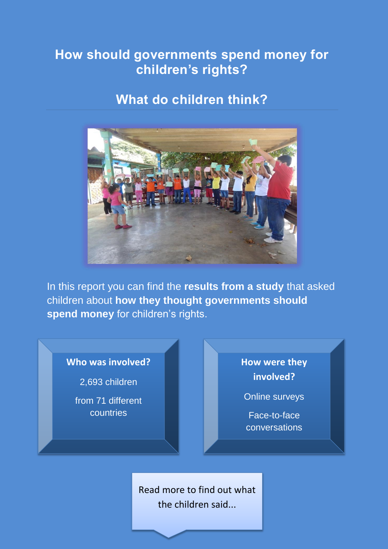### **How should governments spend money for children's rights?**

### **What do children think?**



In this report you can find the **results from a study** that asked children about **how they thought governments should spend money** for children's rights.

#### **Who was involved?**

2,693 children

from 71 different countries

**How were they involved?**

Online surveys

Face-to-face conversations

Read more to find out what the children said...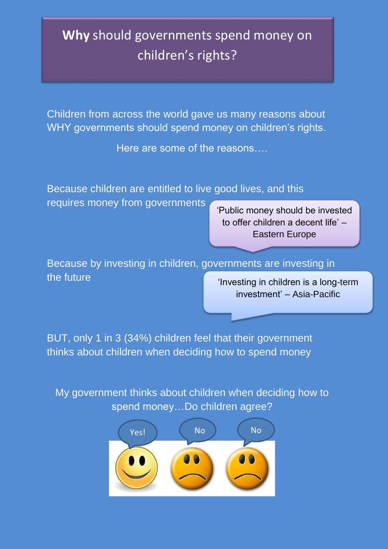## **Why** should governments spend money on children's rights?

Children from across the world gave us many reasons about WHY governments should spend money on children's rights.

Here are some of the reasons….

Because children are entitled to live good lives, and this requires money from governments

'Public money should be invested to offer children a decent life' – Eastern Europe

Because by investing in children, governments are investing in the future

'Investing in children is a long-term investment' – Asia-Pacific

BUT, only 1 in 3 (34%) children feel that their government thinks about children when deciding how to spend money

My government thinks about children when deciding how to spend money…Do children agree?

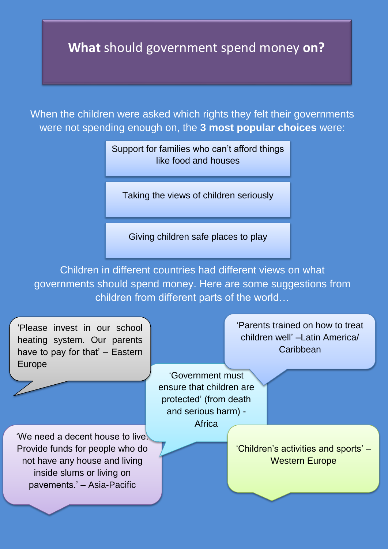## **What** should government spend money **on?**

When the children were asked which rights they felt their governments were not spending enough on, the **3 most popular choices** were:

> Support for families who can't afford things like food and houses

Taking the views of children seriously

Giving children safe places to play

Children in different countries had different views on what governments should spend money. Here are some suggestions from children from different parts of the world…

'Please invest in our school heating system. Our parents have to pay for that' – Eastern Europe

'We need a decent house to live. Provide funds for people who do not have any house and living inside slums or living on pavements.' – Asia-Pacific

'Parents trained on how to treat children well' –Latin America/ **Caribbean** 

'Government must ensure that children are protected' (from death and serious harm) - Africa

> 'Children's activities and sports' – Western Europe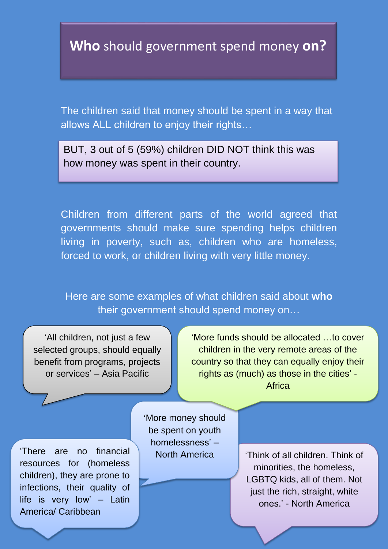**Who** should government spend money **on?**

The children said that money should be spent in a way that allows ALL children to enjoy their rights…

BUT, 3 out of 5 (59%) children DID NOT think this was how money was spent in their country.

Children from different parts of the world agreed that governments should make sure spending helps children living in poverty, such as, children who are homeless, forced to work, or children living with very little money.

Here are some examples of what children said about **who** their government should spend money on…

'All children, not just a few selected groups, should equally benefit from programs, projects or services' – Asia Pacific

'More funds should be allocated …to cover children in the very remote areas of the country so that they can equally enjoy their rights as (much) as those in the cities' - Africa

'There are no financial North America resources for (homeless children), they are prone to infections, their quality of life is very low' – Latin America/ Caribbean

'More money should be spent on youth homelessness' –

'Think of all children. Think of minorities, the homeless, LGBTQ kids, all of them. Not just the rich, straight, white ones.' - North America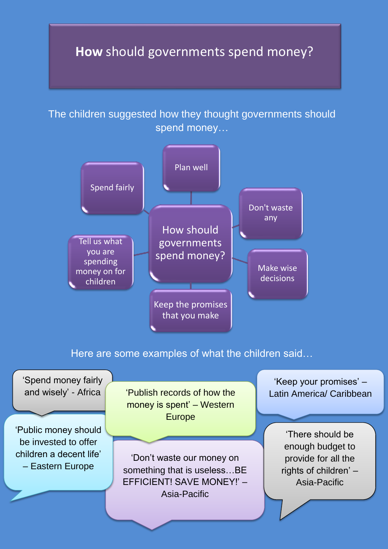## **How** should governments spend money?

The children suggested how they thought governments should spend money…



Here are some examples of what the children said…

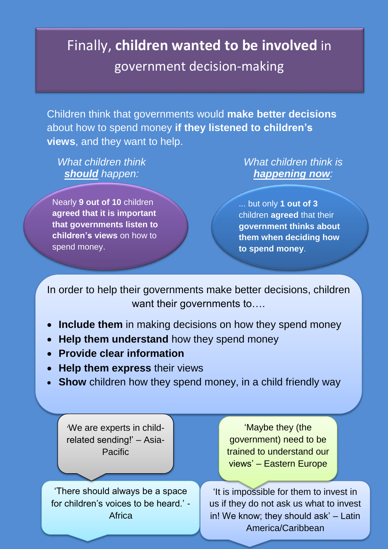# Finally, **children wanted to be involved** in government decision-making

Children think that governments would **make better decisions** about how to spend money **if they listened to children's views**, and they want to help.

*What children think should happen:*

Nearly **9 out of 10** children **agreed that it is important that governments listen to children's views** on how to spend money.

*What children think is happening now:*

... but only **1 out of 3** children **agreed** that their **government thinks about them when deciding how to spend money**.

In order to help their governments make better decisions, children want their governments to....

- **Include them** in making decisions on how they spend money
- Help them understand how they spend money
- **Provide clear information**
- **Help them express their views**
- **Show** children how they spend money, in a child friendly way

'We are experts in childrelated sending!' – Asia-Pacific

'There should always be a space for children's voices to be heard.' - **Africa** 

'Maybe they (the government) need to be trained to understand our views' – Eastern Europe

'It is impossible for them to invest in us if they do not ask us what to invest in! We know; they should ask' – Latin America/Caribbean

- Child from Germany